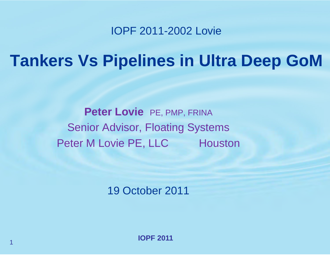#### IOPF 2011-2002 Lovie

# **Tankers Vs Pipelines in Ultra Deep GoM**

Peter Lovie PE, PMP, FRINA Senior Advisor, Floating Systems Peter M Lovie PE, LLC Houston

19 October 2011

**IOPF 2011**1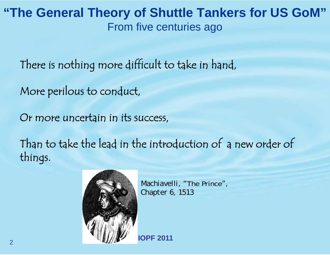#### **"The General Theory of Shuttle Tankers for US GoM"** From five centuries ago

There is nothing more difficult to take in hand,

More perilous to conduct,

Or more uncertain in its success,

Than to take the lead in the introduction of a new order of things.



*Machiavelli, "*The Prince*", Chapter 6, 1513*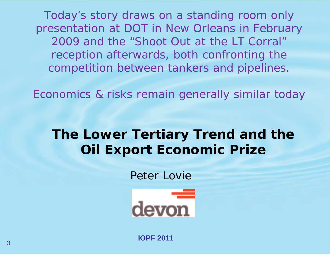*Today's story draws on a standing room only presentation at DOT in New Orleans in February 2009 and the "Shoot Out at the LT Corral" reception afterwards, both confronting the competition between tankers and pipelines.* 

*Economics & risks remain generally similar today*

# **The Lower Tertiary Trend and the Oil Export Economic Prize**

Peter Lovie

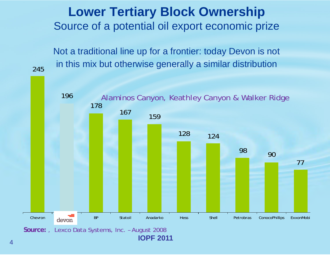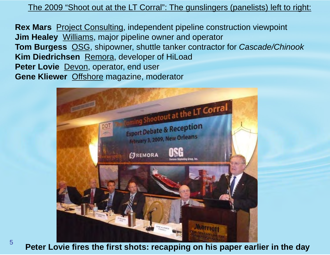The 2009 "Shoot out at the LT Corral": The gunslingers (panelists) left to right:

**Rex Mars** Project Consulting, independent pipeline construction viewpoint **Jim Healey** Williams, major pipeline owner and operator **Tom Burgess** OSG, shipowner, shuttle tanker contractor for *Cascade/Chinook* **Kim Diedrichsen** Remora, developer of HiLoad **Peter Lovie** Devon, operator, end user **Gene Kliewer** Offshore magazine, moderator



5

**Peter Lovie fires the first shots: recapping on his paper earlier in the day**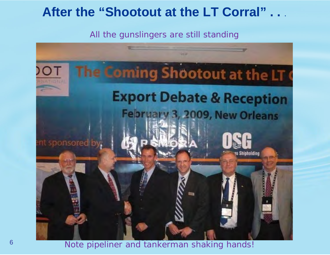#### **After the "Shootout at the LT Corral" . .** .

All the gunslingers are still standing



**IDPF 2018**<br> **IOPF 2018** Note pipeliner and tankerman shaking hands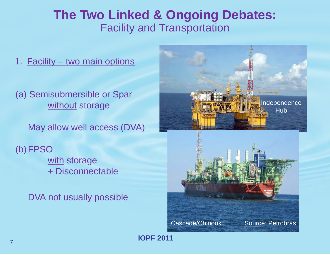#### **The Two Linked & Ongoing Debates:**  Facility and Transportation

- 1. Facility two main options
- (a) Semisubmersible or Spar without storage

May allow well access (DVA)

(b)FPSO with storage + Disconnectable

DVA not usually possible

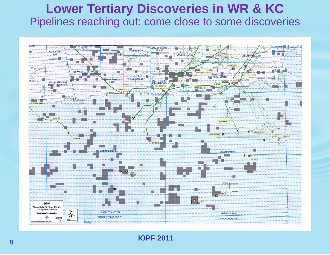#### **Lower Tertiary Discoveries in WR & KC**  Pipelines reaching out: come close to some discoveries

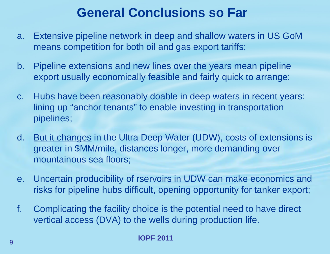# **General Conclusions so Far**

- a. Extensive pipeline network in deep and shallow waters in US GoM means competition for both oil and gas export tariffs;
- b. Pipeline extensions and new lines over the years mean pipeline export usually economically feasible and fairly quick to arrange;
- c. Hubs have been reasonably doable in deep waters in recent years: lining up "anchor tenants" to enable investing in transportation pipelines;
- d. But it changes in the Ultra Deep Water (UDW), costs of extensions is greater in \$MM/mile, distances longer, more demanding over mountainous sea floors;
- e. Uncertain producibility of rservoirs in UDW can make economics and risks for pipeline hubs difficult, opening opportunity for tanker export;
- f. Complicating the facility choice is the potential need to have direct vertical access (DVA) to the wells during production life.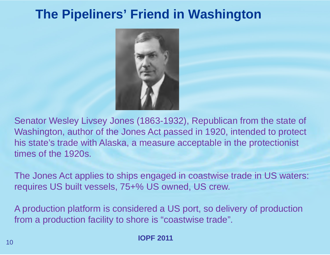## **The Pipeliners' Friend in Washington**



Senator Wesley Livsey Jones (1863-1932), Republican from the state of Washington, author of the Jones Act passed in 1920, intended to protect his state's trade with Alaska, a measure acceptable in the protectionist times of the 1920s.

The Jones Act applies to ships engaged in coastwise trade in US waters: requires US built vessels, 75+% US owned, US crew.

A production platform is considered a US port, so delivery of production from a production facility to shore is "coastwise trade".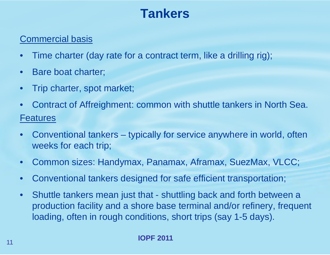# **Tankers**

#### Commercial basis

- •Time charter (day rate for a contract term, like a drilling rig);
- $\bullet$ Bare boat charter;
- •Trip charter, spot market;
- $\bullet$  Contract of Affreighment: common with shuttle tankers in North Sea. Features
- $\bullet$  Conventional tankers – typically for service anywhere in world, often weeks for each trip;
- $\bullet$ Common sizes: Handymax, Panamax, Aframax, SuezMax, VLCC;
- $\bullet$ Conventional tankers designed for safe efficient transportation;
- • Shuttle tankers mean just that - shuttling back and forth between a production facility and a shore base terminal and/or refinery, frequent loading, often in rough conditions, short trips (say 1-5 days).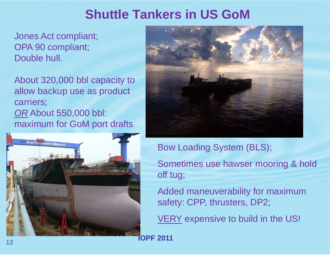# **Shuttle Tankers in US GoM**

Jones Act compliant; OPA 90 compliant; Double hull.

About 320,000 bbl capacity to allow backup use as product carriers; *OR* About 550,000 bbl: maximum for GoM port drafts





Bow Loading System (BLS);

Sometimes use hawser mooring & hold off tug;

Added maneuverability for maximum safety: CPP, thrusters, DP2;

VERY expensive to build in the US!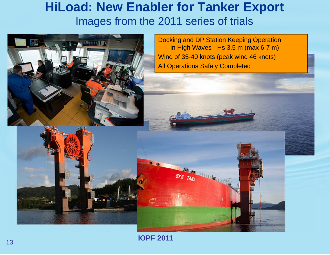#### **HiLoad: New Enabler for Tanker Export** Images from the 2011 series of trials



**IOPF 2011**13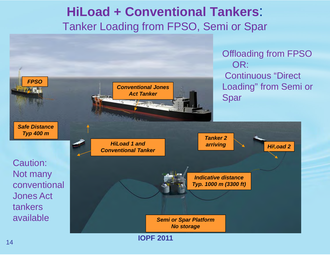#### **HiLoad + Conventional Tankers**: Tanker Loading from FPSO, Semi or Spar

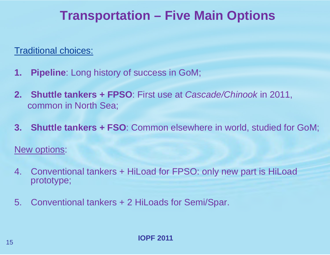## **Transportation – Five Main Options**

Traditional choices:

- **1. Pipeline**: Long history of success in GoM;
- **2. Shuttle tankers + FPSO**: First use at *Cascade/Chinook* in 2011, common in North Sea;
- **3. Shuttle tankers + FSO**: Common elsewhere in world, studied for GoM;

New options:

- 4. Conventional tankers + HiLoad for FPSO: only new part is HiLoad prototype;
- 5. Conventional tankers + 2 HiLoads for Semi/Spar.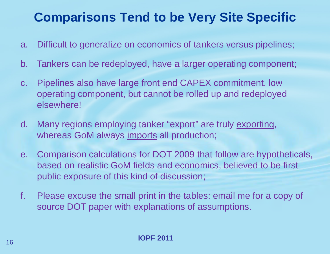# **Comparisons Tend to be Very Site Specific**

- a. Difficult to generalize on economics of tankers versus pipelines;
- b. Tankers can be redeployed, have a larger operating component;
- c. Pipelines also have large front end CAPEX commitment, low operating component, but cannot be rolled up and redeployed elsewhere!
- d. Many regions employing tanker "export" are truly exporting, whereas GoM always imports all production;
- e. Comparison calculations for DOT 2009 that follow are hypotheticals, based on realistic GoM fields and economics, believed to be first public exposure of this kind of discussion;
- f. Please excuse the small print in the tables: email me for a copy of source DOT paper with explanations of assumptions.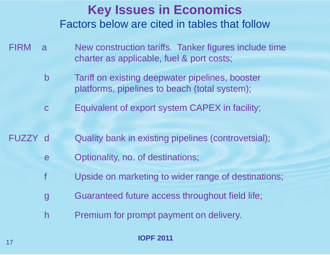## **Key Issues in Economics** Factors below are cited in tables that follow

- FIRM a Mew construction tariffs. Tanker figures include time charter as applicable, fuel & port costs;
	- b Tariff on existing deepwater pipelines, booster platforms, pipelines to beach (total system);
	- <sup>c</sup> Equivalent of export system CAPEX in facility;
- FUZZY d Quality bank in existing pipelines (controvetsial);
	- <sup>e</sup> Optionality, no. of destinations;
	- f Upside on marketing to wider range of destinations;
	- g Guaranteed future access throughout field life;
	- h Premium for prompt payment on delivery.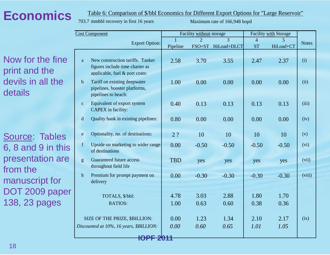## **Economics**

#### Table 6: Comparison of \$/bbl Economics for Different Export Options for "Large Reservoir"

703.7mmbbl recovery in first 16 years

Maximum rate of 166,948 bopd

|                                                                      | <b>Cost Component</b> |                                                                                                         | Facility without storage |                |                          | Facility with Storage |                |              |
|----------------------------------------------------------------------|-----------------------|---------------------------------------------------------------------------------------------------------|--------------------------|----------------|--------------------------|-----------------------|----------------|--------------|
|                                                                      | <b>Export Option:</b> |                                                                                                         |                          | $\mathfrak{D}$ | $\overline{\mathcal{E}}$ | $\overline{4}$        | $\overline{5}$ | <b>Notes</b> |
|                                                                      |                       |                                                                                                         |                          | $FSO+ST$       | HiLoad+DLCT              | <b>ST</b>             | HiLoad+CT      |              |
| Now for the fine<br>print and the<br>devils in all the<br>details    | <sub>a</sub>          | New construction tariffs. Tanker<br>figures include time charter as<br>applicable, fuel $&$ port costs: | 2.58                     | 3.70           | 3.55                     | 2.47                  | 2.37           | (i)          |
|                                                                      | $\mathbf b$           | Tariff on existing deepwater<br>pipelines, booster platforms,<br>pipelines to beach:                    | 1.00                     | 0.00           | 0.00                     | 0.00                  | 0.00           | (ii)         |
|                                                                      | $\mathbf{C}$          | Equivalent of export system<br>CAPEX in facility:                                                       | 0.40                     | 0.13           | 0.13                     | 0.13                  | 0.13           | (iii)        |
|                                                                      | d                     | Quality bank in existing pipelines:                                                                     | 0.80                     | 0.00           | 0.00                     | 0.00                  | 0.00           | (iv)         |
| Source: Tables                                                       | e                     | Optionality, no. of destinations:                                                                       | 2 <sup>2</sup>           | 10             | 10                       | 10                    | 10             | (v)          |
| 6, 8 and 9 in this<br>presentation are<br>from the<br>manuscript for | $\mathbf{f}$          | Upside on marketing to wider range<br>of destinations                                                   | 0.00                     | $-0.50$        | $-0.50$                  | $-0.50$               | $-0.50$        | (vi)         |
|                                                                      | g                     | Guaranteed future access<br>throughout field life                                                       | <b>TBD</b>               | yes            | yes                      | yes                   | yes            | (vii)        |
|                                                                      | h                     | Premium for prompt payment on<br>delivery                                                               | 0.00                     | $-0.30$        | $-0.30$                  | $-0.30$               | $-0.30$        | (viii)       |
| DOT 2009 paper                                                       |                       | TOTALS, \$/bbl:                                                                                         | 4.78                     | 3.03           | 2.88                     | 1.80                  | 1.70           |              |
| 138, 23 pages                                                        | RATIOS:               |                                                                                                         | 1.00                     | 0.63           | 0.60                     | 0.38                  | 0.36           |              |
|                                                                      |                       | SIZE OF THE PRIZE, \$BILLION:<br>Discounted at 10%, 16 years, \$BILLION:                                | 0.00<br>0.00             | 1.23<br>0.60   | 1.34<br>0.65             | 2.10<br>1.01          | 2.17<br>1.05   | (ix)         |
|                                                                      |                       | <b>IOPF 2011</b>                                                                                        |                          |                |                          |                       |                |              |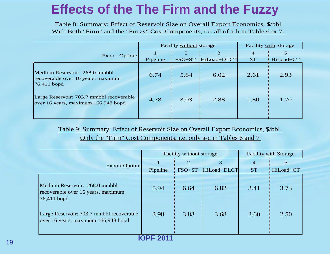# **Effects of the The Firm and the Fuzzy**

Table 8: Summary: Effect of Reservoir Size on Overall Export Economics, \$/bbl With Both "Firm" and the "Fuzzy" Cost Components, i.e. all of a-h in Table 6 or 7.

|                                                                                      |          | Facility without storage | <b>Facility with Storage</b> |                |           |
|--------------------------------------------------------------------------------------|----------|--------------------------|------------------------------|----------------|-----------|
| <b>Export Option:</b>                                                                | Pipeline | 2<br>$FSO+ST$            | 3<br>HiLoad+DLCT             | 4<br><b>ST</b> | HiLoad+CT |
| Medium Reservoir: 268.0 mmbbl<br>recoverable over 16 years, maximum<br>$76,411$ bopd | 6.74     | 5.84                     | 6.02                         | 2.61           | 2.93      |
| Large Reservoir: 703.7 mmbbl recoverable<br>over 16 years, maximum 166,948 bopd      | 4.78     | 3.03                     | 2.88                         | 1.80           | 1.70      |

Only the "Firm" Cost Components, i.e. only a-c in Tables 6 and 7 Table 9: Summary: Effect of Reservoir Size on Overall Export Economics, \$/bbl,

|                                                                                      | Facility without storage |               |                  | <b>Facility with Storage</b> |                |  |  |
|--------------------------------------------------------------------------------------|--------------------------|---------------|------------------|------------------------------|----------------|--|--|
| <b>Export Option:</b>                                                                | Pipeline                 | 2<br>$FSO+ST$ | 3<br>HiLoad+DLCT | 4<br><b>ST</b>               | 5<br>HiLoad+CT |  |  |
| Medium Reservoir: 268.0 mmbbl<br>recoverable over 16 years, maximum<br>$76,411$ bopd | 5.94                     | 6.64          | 6.82             | 3.41                         | 3.73           |  |  |
| Large Reservoir: 703.7 mmbbl recoverable<br>over 16 years, maximum 166,948 bopd      | 3.98                     | 3.83          | 3.68             | 2.60                         | 2.50           |  |  |
|                                                                                      |                          |               |                  |                              |                |  |  |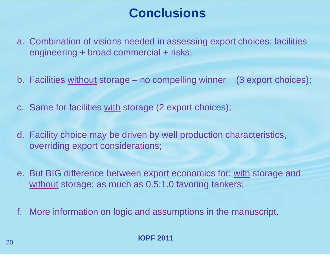# **Conclusions**

- a. Combination of visions needed in assessing export choices: facilities engineering + broad commercial + risks;
- b. Facilities without storage no compelling winner (3 export choices);
- c. Same for facilities with storage (2 export choices);
- d. Facility choice may be driven by well production characteristics, overriding export considerations;
- e. But BIG difference between export economics for: with storage and without storage: as much as 0.5:1.0 favoring tankers;
- f. More information on logic and assumptions in the manuscript.